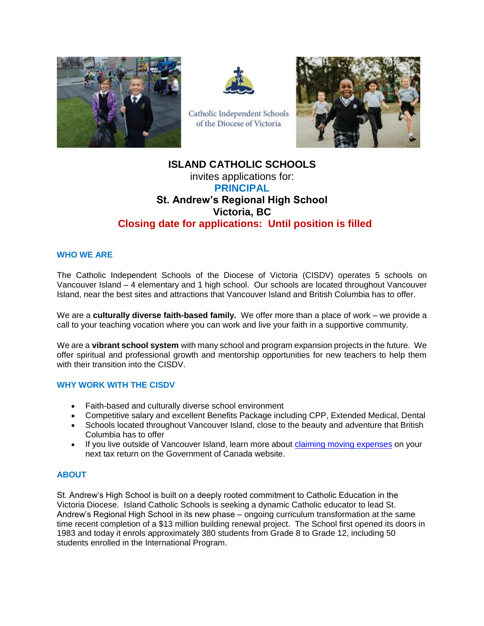



Catholic Independent Schools of the Diocese of Victoria



# **ISLAND CATHOLIC SCHOOLS**  invites applications for: **PRINCIPAL St. Andrew's Regional High School Victoria, BC Closing date for applications: Until position is filled**

## **WHO WE ARE**

The Catholic Independent Schools of the Diocese of Victoria (CISDV) operates 5 schools on Vancouver Island – 4 elementary and 1 high school. Our schools are located throughout Vancouver Island, near the best sites and attractions that Vancouver Island and British Columbia has to offer.

We are a **culturally diverse faith-based family.** We offer more than a place of work – we provide a call to your teaching vocation where you can work and live your faith in a supportive community.

We are a **vibrant school system** with many school and program expansion projects in the future. We offer spiritual and professional growth and mentorship opportunities for new teachers to help them with their transition into the CISDV.

#### **WHY WORK WITH THE CISDV**

- Faith-based and culturally diverse school environment
- Competitive salary and excellent Benefits Package including CPP, Extended Medical, Dental
- Schools located throughout Vancouver Island, close to the beauty and adventure that British Columbia has to offer
- If you live outside of Vancouver Island, learn more about [claiming moving expenses](https://www.canada.ca/en/revenue-agency/services/tax/individuals/topics/about-your-tax-return/tax-return/completing-a-tax-return/deductions-credits-expenses/line-21900-moving-expenses/you-claim-moving-expenses-12.html) on your next tax return on the Government of Canada website.

#### **ABOUT**

St. Andrew's High School is built on a deeply rooted commitment to Catholic Education in the Victoria Diocese. Island Catholic Schools is seeking a dynamic Catholic educator to lead St. Andrew's Regional High School in its new phase – ongoing curriculum transformation at the same time recent completion of a \$13 million building renewal project. The School first opened its doors in 1983 and today it enrols approximately 380 students from Grade 8 to Grade 12, including 50 students enrolled in the International Program.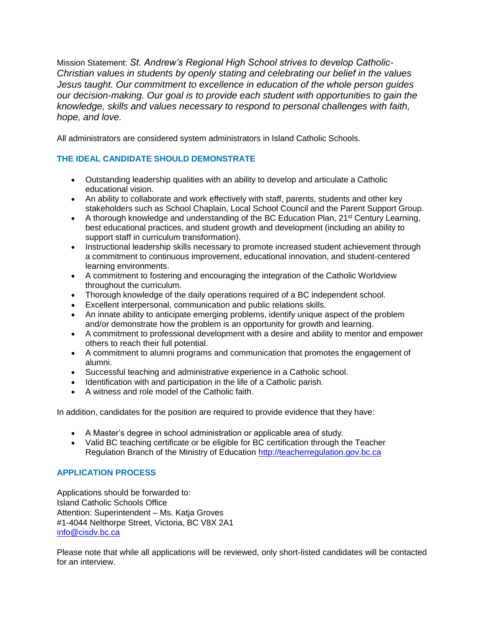Mission Statement: *St. Andrew's Regional High School strives to develop Catholic-Christian values in students by openly stating and celebrating our belief in the values Jesus taught. Our commitment to excellence in education of the whole person guides our decision-making. Our goal is to provide each student with opportunities to gain the knowledge, skills and values necessary to respond to personal challenges with faith, hope, and love.*

All administrators are considered system administrators in Island Catholic Schools.

## **THE IDEAL CANDIDATE SHOULD DEMONSTRATE**

- Outstanding leadership qualities with an ability to develop and articulate a Catholic educational vision.
- An ability to collaborate and work effectively with staff, parents, students and other key stakeholders such as School Chaplain, Local School Council and the Parent Support Group.
- A thorough knowledge and understanding of the BC Education Plan, 21<sup>st</sup> Century Learning, best educational practices, and student growth and development (including an ability to support staff in curriculum transformation).
- Instructional leadership skills necessary to promote increased student achievement through a commitment to continuous improvement, educational innovation, and student-centered learning environments.
- A commitment to fostering and encouraging the integration of the Catholic Worldview throughout the curriculum.
- Thorough knowledge of the daily operations required of a BC independent school.
- Excellent interpersonal, communication and public relations skills.
- An innate ability to anticipate emerging problems, identify unique aspect of the problem and/or demonstrate how the problem is an opportunity for growth and learning.
- A commitment to professional development with a desire and ability to mentor and empower others to reach their full potential.
- A commitment to alumni programs and communication that promotes the engagement of alumni.
- Successful teaching and administrative experience in a Catholic school.
- Identification with and participation in the life of a Catholic parish.
- A witness and role model of the Catholic faith.

In addition, candidates for the position are required to provide evidence that they have:

- A Master's degree in school administration or applicable area of study.
- Valid BC teaching certificate or be eligible for BC certification through the Teacher Regulation Branch of the Ministry of Education http://teacherregulation.gov.bc.ca

## **APPLICATION PROCESS**

Applications should be forwarded to: Island Catholic Schools Office Attention: Superintendent – Ms. Katja Groves #1-4044 Nelthorpe Street, Victoria, BC V8X 2A1 [info@cisdv.bc.ca](mailto:info@cisdv.bc.ca)

Please note that while all applications will be reviewed, only short-listed candidates will be contacted for an interview.